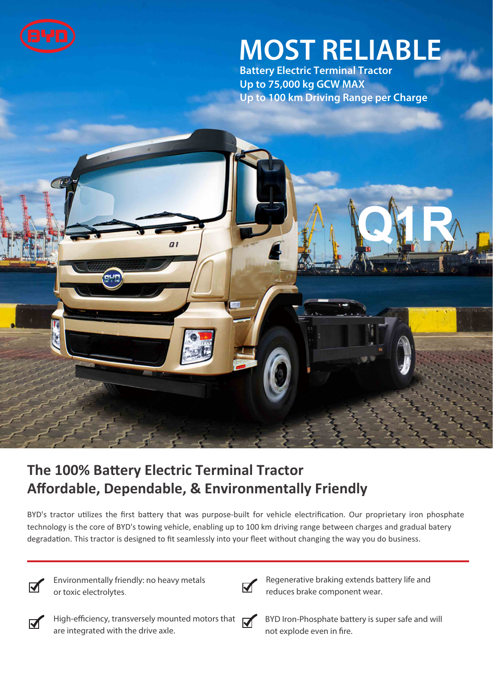

# **MOST RELIABLE**

**Battery Electric Terminal Tractor Up to 75,000 kg GCW MAX Up to 100 km Driving Range per Charge**



## **The 100% Battery Electric Terminal Tractor Affordable, Dependable, & Environmentally Friendly**

BYD's tractor utilizes the first battery that was purpose-built for vehicle electrification. Our proprietary iron phosphate technology is the core of BYD's towing vehicle, enabling up to 100 km driving range between charges and gradual batery degradation. This tractor is designed to fit seamlessly into your fleet without changing the way you do business.



**Environmentally friendly: no heavy metals or toxic electrolytes**.



**Regenerative braking extends battery life and reduces brake component wear.**



**High-eciency, transversely mounted motors that are integrated with the drive axle.**



**BYD Iron-Phosphate battery is super safe and will**  not explode even in fire.